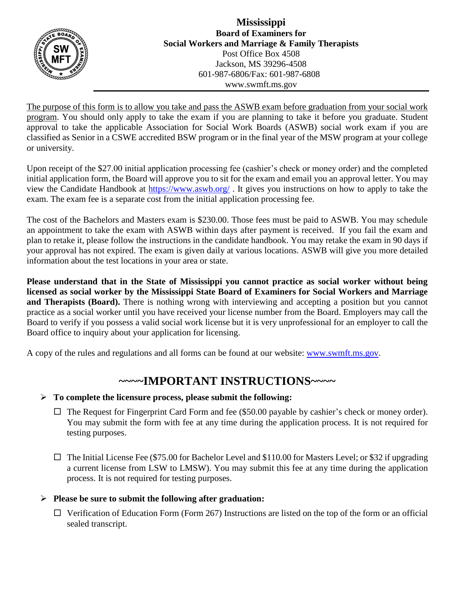

The purpose of this form is to allow you take and pass the ASWB exam before graduation from your social work program. You should only apply to take the exam if you are planning to take it before you graduate. Student approval to take the applicable Association for Social Work Boards (ASWB) social work exam if you are classified as Senior in a CSWE accredited BSW program or in the final year of the MSW program at your college or university.

Upon receipt of the \$27.00 initial application processing fee (cashier's check or money order) and the completed initial application form, the Board will approve you to sit for the exam and email you an approval letter. You may view the Candidate Handbook at <https://www.aswb.org/> . It gives you instructions on how to apply to take the exam. The exam fee is a separate cost from the initial application processing fee.

The cost of the Bachelors and Masters exam is \$230.00. Those fees must be paid to ASWB. You may schedule an appointment to take the exam with ASWB within days after payment is received. If you fail the exam and plan to retake it, please follow the instructions in the candidate handbook. You may retake the exam in 90 days if your approval has not expired. The exam is given daily at various locations. ASWB will give you more detailed information about the test locations in your area or state.

**Please understand that in the State of Mississippi you cannot practice as social worker without being licensed as social worker by the Mississippi State Board of Examiners for Social Workers and Marriage and Therapists (Board).** There is nothing wrong with interviewing and accepting a position but you cannot practice as a social worker until you have received your license number from the Board. Employers may call the Board to verify if you possess a valid social work license but it is very unprofessional for an employer to call the Board office to inquiry about your application for licensing.

A copy of the rules and regulations and all forms can be found at our website: [www.swmft.ms.gov.](http://www.swmft.ms.gov/)

## **~~~~IMPORTANT INSTRUCTIONS~~~~**

### **To complete the licensure process, please submit the following:**

- $\Box$  The Request for Fingerprint Card Form and fee (\$50.00 payable by cashier's check or money order). You may submit the form with fee at any time during the application process. It is not required for testing purposes.
- $\Box$  The Initial License Fee (\$75.00 for Bachelor Level and \$110.00 for Masters Level; or \$32 if upgrading a current license from LSW to LMSW). You may submit this fee at any time during the application process. It is not required for testing purposes.

### **Please be sure to submit the following after graduation:**

 $\Box$  Verification of Education Form (Form 267) Instructions are listed on the top of the form or an official sealed transcript.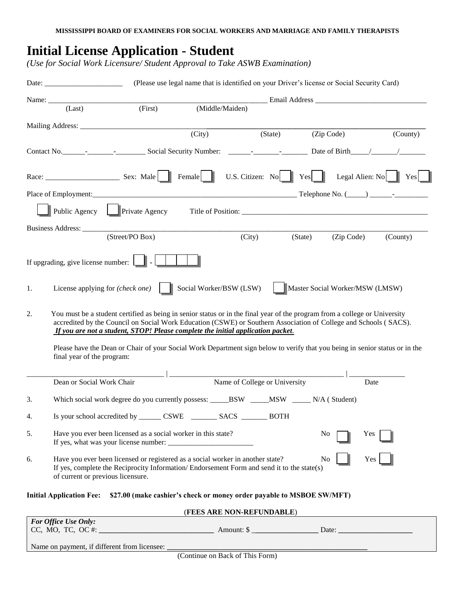# **Initial License Application - Student**

*(Use for Social Work Licensure/ Student Approval to Take ASWB Examination)* 

|    |                                                                                                                                                                                                                                                                                                                                                                                                                                                                                                | (Please use legal name that is identified on your Driver's license or Social Security Card)    |                         |                                                              |         |         |                                 |      |          |
|----|------------------------------------------------------------------------------------------------------------------------------------------------------------------------------------------------------------------------------------------------------------------------------------------------------------------------------------------------------------------------------------------------------------------------------------------------------------------------------------------------|------------------------------------------------------------------------------------------------|-------------------------|--------------------------------------------------------------|---------|---------|---------------------------------|------|----------|
|    |                                                                                                                                                                                                                                                                                                                                                                                                                                                                                                |                                                                                                |                         |                                                              |         |         |                                 |      |          |
|    | (Last)                                                                                                                                                                                                                                                                                                                                                                                                                                                                                         | (First)                                                                                        | (Middle/Maiden)         |                                                              |         |         |                                 |      |          |
|    |                                                                                                                                                                                                                                                                                                                                                                                                                                                                                                |                                                                                                |                         |                                                              |         |         |                                 |      |          |
|    |                                                                                                                                                                                                                                                                                                                                                                                                                                                                                                |                                                                                                | (City)                  |                                                              | (State) |         | (Zip Code)                      |      | (County) |
|    |                                                                                                                                                                                                                                                                                                                                                                                                                                                                                                |                                                                                                |                         |                                                              |         |         |                                 |      |          |
|    |                                                                                                                                                                                                                                                                                                                                                                                                                                                                                                |                                                                                                |                         | U.S. Citizen: No $\parallel$ Yes Legal Alien: No $\parallel$ |         |         |                                 |      | Yes      |
|    |                                                                                                                                                                                                                                                                                                                                                                                                                                                                                                |                                                                                                |                         |                                                              |         |         |                                 |      |          |
|    |                                                                                                                                                                                                                                                                                                                                                                                                                                                                                                | Public Agency Private Agency                                                                   |                         |                                                              |         |         |                                 |      |          |
|    | Business Address:                                                                                                                                                                                                                                                                                                                                                                                                                                                                              |                                                                                                |                         |                                                              |         |         |                                 |      |          |
|    |                                                                                                                                                                                                                                                                                                                                                                                                                                                                                                | (Street/PO Box)                                                                                |                         | (City)                                                       |         | (State) | (Zip Code)                      |      | (County) |
|    | If upgrading, give license number:                                                                                                                                                                                                                                                                                                                                                                                                                                                             |                                                                                                |                         |                                                              |         |         |                                 |      |          |
| 1. |                                                                                                                                                                                                                                                                                                                                                                                                                                                                                                | License applying for (check one)                                                               | Social Worker/BSW (LSW) |                                                              |         |         | Master Social Worker/MSW (LMSW) |      |          |
| 2. | You must be a student certified as being in senior status or in the final year of the program from a college or University<br>accredited by the Council on Social Work Education (CSWE) or Southern Association of College and Schools (SACS).<br>If you are not a student, STOP! Please complete the initial application packet.<br>Please have the Dean or Chair of your Social Work Department sign below to verify that you being in senior status or in the<br>final year of the program: |                                                                                                |                         |                                                              |         |         |                                 |      |          |
|    |                                                                                                                                                                                                                                                                                                                                                                                                                                                                                                |                                                                                                |                         |                                                              |         |         |                                 |      |          |
|    | Dean or Social Work Chair                                                                                                                                                                                                                                                                                                                                                                                                                                                                      |                                                                                                |                         | Name of College or University                                |         |         |                                 | Date |          |
| 3. |                                                                                                                                                                                                                                                                                                                                                                                                                                                                                                | Which social work degree do you currently possess: _____BSW _____MSW ______N/A (Student)       |                         |                                                              |         |         |                                 |      |          |
| 4. |                                                                                                                                                                                                                                                                                                                                                                                                                                                                                                | Is your school accredited by ________ CSWE _________ SACS ________ BOTH                        |                         |                                                              |         |         |                                 |      |          |
| 5. | Have you ever been licensed as a social worker in this state?<br>No.<br>Yes                                                                                                                                                                                                                                                                                                                                                                                                                    |                                                                                                |                         |                                                              |         |         |                                 |      |          |
| 6. | Have you ever been licensed or registered as a social worker in another state?<br>Yes<br>No.<br>If yes, complete the Reciprocity Information/Endorsement Form and send it to the state(s)<br>of current or previous licensure.                                                                                                                                                                                                                                                                 |                                                                                                |                         |                                                              |         |         |                                 |      |          |
|    |                                                                                                                                                                                                                                                                                                                                                                                                                                                                                                | Initial Application Fee: \$27.00 (make cashier's check or money order payable to MSBOE SW/MFT) |                         |                                                              |         |         |                                 |      |          |
|    |                                                                                                                                                                                                                                                                                                                                                                                                                                                                                                |                                                                                                |                         | (FEES ARE NON-REFUNDABLE)                                    |         |         |                                 |      |          |
|    | For Office Use Only:                                                                                                                                                                                                                                                                                                                                                                                                                                                                           |                                                                                                |                         |                                                              |         |         |                                 |      |          |
|    |                                                                                                                                                                                                                                                                                                                                                                                                                                                                                                |                                                                                                |                         |                                                              |         |         |                                 |      |          |

Name on payment, if different from licensee: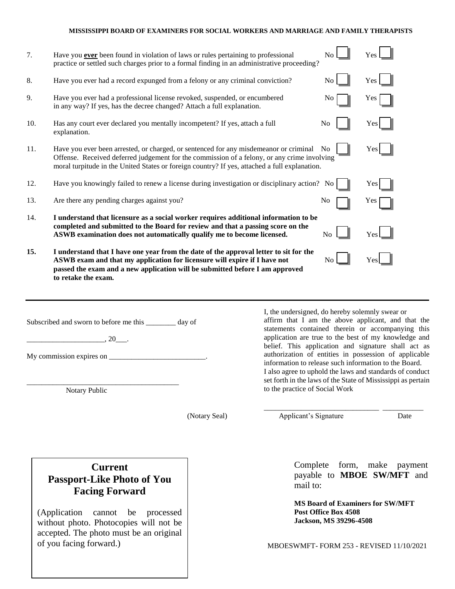#### **MISSISSIPPI BOARD OF EXAMINERS FOR SOCIAL WORKERS AND MARRIAGE AND FAMILY THERAPISTS**

| 7.  | Have you ever been found in violation of laws or rules pertaining to professional<br>practice or settled such charges prior to a formal finding in an administrative proceeding?                                                                                                                |                                                 | N <sub>o</sub> | Yes                                                                                                                                                                                                                                                                                                                                                                                                  |  |
|-----|-------------------------------------------------------------------------------------------------------------------------------------------------------------------------------------------------------------------------------------------------------------------------------------------------|-------------------------------------------------|----------------|------------------------------------------------------------------------------------------------------------------------------------------------------------------------------------------------------------------------------------------------------------------------------------------------------------------------------------------------------------------------------------------------------|--|
| 8.  | Have you ever had a record expunged from a felony or any criminal conviction?                                                                                                                                                                                                                   |                                                 | N <sub>o</sub> | Yes                                                                                                                                                                                                                                                                                                                                                                                                  |  |
| 9.  | Have you ever had a professional license revoked, suspended, or encumbered<br>in any way? If yes, has the decree changed? Attach a full explanation.                                                                                                                                            |                                                 | N <sub>0</sub> | Yes                                                                                                                                                                                                                                                                                                                                                                                                  |  |
| 10. | Has any court ever declared you mentally incompetent? If yes, attach a full<br>explanation.                                                                                                                                                                                                     |                                                 | No             | Yes                                                                                                                                                                                                                                                                                                                                                                                                  |  |
| 11. | Have you ever been arrested, or charged, or sentenced for any misdemeanor or criminal No<br>Yes<br>Offense. Received deferred judgement for the commission of a felony, or any crime involving<br>moral turpitude in the United States or foreign country? If yes, attached a full explanation. |                                                 |                |                                                                                                                                                                                                                                                                                                                                                                                                      |  |
| 12. | Have you knowingly failed to renew a license during investigation or disciplinary action? No                                                                                                                                                                                                    |                                                 |                | Yes                                                                                                                                                                                                                                                                                                                                                                                                  |  |
| 13. | Are there any pending charges against you?                                                                                                                                                                                                                                                      |                                                 | No             | Yes                                                                                                                                                                                                                                                                                                                                                                                                  |  |
| 14. | I understand that licensure as a social worker requires additional information to be<br>completed and submitted to the Board for review and that a passing score on the<br>ASWB examination does not automatically qualify me to become licensed.                                               |                                                 | N <sub>o</sub> | Yes                                                                                                                                                                                                                                                                                                                                                                                                  |  |
| 15. | I understand that I have one year from the date of the approval letter to sit for the<br>ASWB exam and that my application for licensure will expire if I have not<br>passed the exam and a new application will be submitted before I am approved<br>to retake the exam.                       |                                                 | No             | Yes                                                                                                                                                                                                                                                                                                                                                                                                  |  |
|     | Subscribed and sworn to before me this _______ day of<br>$.20$ .<br>My commission expires on __                                                                                                                                                                                                 | I, the undersigned, do hereby solemnly swear or |                | affirm that I am the above applicant, and that the<br>statements contained therein or accompanying this<br>application are true to the best of my knowledge and<br>belief. This application and signature shall act as<br>authorization of entities in possession of applicable<br>information to release such information to the Board.<br>I also agree to uphold the laws and standards of conduct |  |

Notary Public

\_\_\_\_\_\_\_\_\_\_\_\_\_\_\_\_\_\_\_\_\_\_\_\_\_\_\_\_\_\_\_\_\_\_\_\_\_\_\_\_\_

(Notary Seal)

to the practice of Social Work \_\_\_\_\_\_\_\_\_\_\_\_\_\_\_\_\_\_\_\_\_\_\_\_\_\_\_\_\_\_\_ \_\_\_\_\_\_\_\_\_\_\_

set forth in the laws of the State of Mississippi as pertain

Applicant's Signature Date

### **Current Passport-Like Photo of You Facing Forward**

(Application cannot be processed without photo. Photocopies will not be accepted. The photo must be an original of you facing forward.)

Complete form, make payment payable to **MBOE SW/MFT** and mail to:

**MS Board of Examiners for SW/MFT Post Office Box 4508 Jackson, MS 39296-4508**

MBOESWMFT- FORM 253 - REVISED 11/10/2021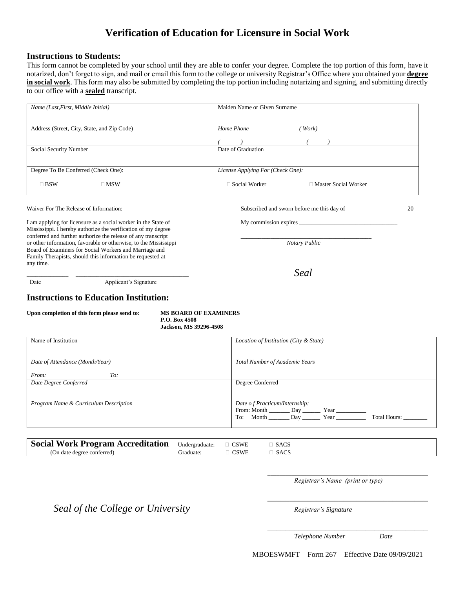### **Verification of Education for Licensure in Social Work**

#### **Instructions to Students:**

This form cannot be completed by your school until they are able to confer your degree. Complete the top portion of this form, have it notarized, don't forget to sign, and mail or email this form to the college or university Registrar's Office where you obtained your **degree**  in social work. This form may also be submitted by completing the top portion including notarizing and signing, and submitting directly to our office with a **sealed** transcript.

| Name (Last, First, Middle Initial)                                                                                                   | Maiden Name or Given Surname                                        |    |  |  |
|--------------------------------------------------------------------------------------------------------------------------------------|---------------------------------------------------------------------|----|--|--|
| Address (Street, City, State, and Zip Code)                                                                                          | Home Phone<br>Work)                                                 |    |  |  |
| Social Security Number                                                                                                               | Date of Graduation                                                  |    |  |  |
| Degree To Be Conferred (Check One):                                                                                                  | License Applying For (Check One):                                   |    |  |  |
| $\square$ BSW<br>$\square$ MSW                                                                                                       | Social Worker<br>□ Master Social Worker                             |    |  |  |
| Waiver For The Release of Information:                                                                                               | Subscribed and sworn before me this day of                          | 20 |  |  |
| I am applying for licensure as a social worker in the State of<br>Mississippi. I hereby authorize the verification of my degree      | My commission expires                                               |    |  |  |
| conferred and further authorize the release of any transcript<br>an other information, forwards to an otherwise, to the Mississippi. | $\mathcal{M}_{\alpha\ell\alpha\mu\nu}$ , $\mathcal{D}_{\alpha\ell}$ |    |  |  |

\_\_\_\_\_\_\_\_\_\_\_\_\_\_ \_\_\_\_\_\_\_\_\_\_\_\_\_\_\_\_\_\_\_\_\_\_\_\_\_\_\_\_\_\_\_\_\_\_\_\_\_\_ *Seal*

or other information, favorable or otherwise, to the Mississippi *Notary Public* Board of Examiners for Social Workers and Marriage and Family Therapists, should this information be requested at any time.

Date **Applicant's Signature** 

### **Instructions to Education Institution:**

| Upon completion of this form please send to: |  |
|----------------------------------------------|--|
|                                              |  |

**MS BOARD OF EXAMINERS P.O. Box 4508 Jackson, MS 39296-4508**

| Name of Institution                   | Location of Institution (City & State) |
|---------------------------------------|----------------------------------------|
|                                       |                                        |
|                                       |                                        |
|                                       |                                        |
| Date of Attendance (Month/Year)       | Total Number of Academic Years         |
|                                       |                                        |
| From:<br>To:                          |                                        |
| Date Degree Conferred                 | Degree Conferred                       |
|                                       |                                        |
|                                       |                                        |
|                                       |                                        |
| Program Name & Curriculum Description | Date of Practicum/Internship:          |
|                                       |                                        |
|                                       | Total Hours:                           |
|                                       |                                        |
|                                       |                                        |

| <b>Social Work Program Accreditation</b> Undergraduate: |           | $\Box$ CSWE | $\Box$ SACS    |
|---------------------------------------------------------|-----------|-------------|----------------|
| (On date degree conferred)                              | Graduate: | <b>CSWE</b> | $\exists$ SACS |

**\_\_\_\_\_\_\_\_\_\_\_\_\_\_\_\_\_\_\_\_\_\_\_\_\_\_\_\_\_\_\_\_\_\_\_\_\_\_\_\_\_\_\_\_\_\_\_\_\_\_\_\_\_\_** *Registrar's Name (print or type)*

\_\_\_\_\_\_\_\_\_\_\_\_\_\_\_\_\_\_\_\_\_\_\_\_\_\_\_\_\_\_\_\_\_\_\_\_

\_\_\_\_\_\_\_\_\_\_\_\_\_\_\_\_\_\_\_\_\_\_\_\_\_\_\_\_\_\_\_\_\_\_\_\_

**Seal of the College or University** *Registrar's Signature* 

*Telephone Number Date*

MBOESWMFT – Form 267 – Effective Date 09/09/2021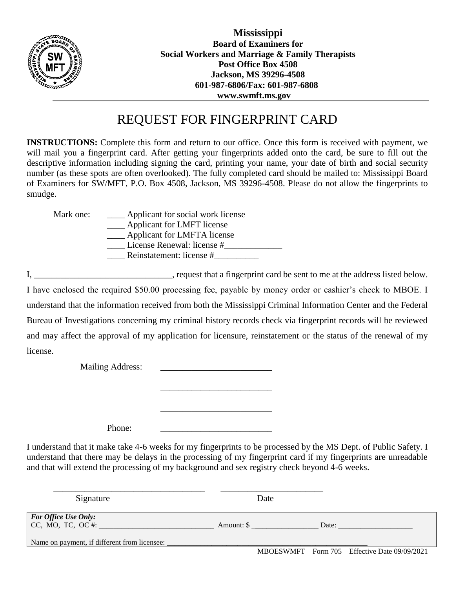

**Mississippi Board of Examiners for Social Workers and Marriage & Family Therapists Post Office Box 4508 Jackson, MS 39296-4508 601-987-6806/Fax: 601-987-6808 www.swmft.ms.gov**

# REQUEST FOR FINGERPRINT CARD

**INSTRUCTIONS:** Complete this form and return to our office. Once this form is received with payment, we will mail you a fingerprint card. After getting your fingerprints added onto the card, be sure to fill out the descriptive information including signing the card, printing your name, your date of birth and social security number (as these spots are often overlooked). The fully completed card should be mailed to: Mississippi Board of Examiners for SW/MFT, P.O. Box 4508, Jackson, MS 39296-4508. Please do not allow the fingerprints to smudge.

| Mark one: | Applicant for social work license |
|-----------|-----------------------------------|
|           | Applicant for LMFT license        |
|           | Applicant for LMFTA license       |
|           | License Renewal: license #        |
|           | Reinstatement: license #          |
|           |                                   |

I, \_\_\_\_\_\_\_\_\_\_\_\_\_\_\_\_\_\_\_\_\_\_\_\_\_\_\_\_, request that a fingerprint card be sent to me at the address listed below.

I have enclosed the required \$50.00 processing fee, payable by money order or cashier's check to MBOE. I understand that the information received from both the Mississippi Criminal Information Center and the Federal Bureau of Investigations concerning my criminal history records check via fingerprint records will be reviewed and may affect the approval of my application for licensure, reinstatement or the status of the renewal of my license.

\_\_\_\_\_\_\_\_\_\_\_\_\_\_\_\_\_\_\_\_\_\_\_\_\_

\_\_\_\_\_\_\_\_\_\_\_\_\_\_\_\_\_\_\_\_\_\_\_\_\_

Mailing Address:

Phone:

I understand that it make take 4-6 weeks for my fingerprints to be processed by the MS Dept. of Public Safety. I understand that there may be delays in the processing of my fingerprint card if my fingerprints are unreadable and that will extend the processing of my background and sex registry check beyond 4-6 weeks.

| Signature                                                                                        | Date                                               |
|--------------------------------------------------------------------------------------------------|----------------------------------------------------|
| <b>For Office Use Only:</b><br>CC, MO, TC, OC #:<br>Name on payment, if different from licensee: | Amount: \$<br>Date:                                |
|                                                                                                  | $MBOESWMFT - Form$ 705 – Effective Date 09/09/2021 |